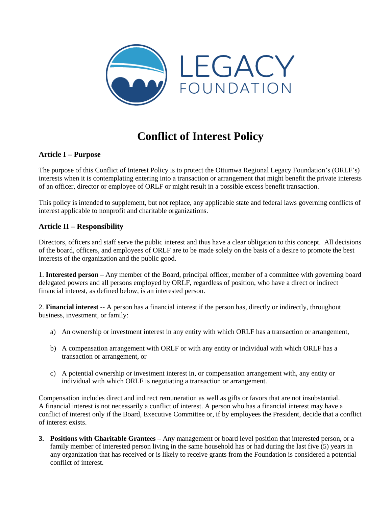

# **Conflict of Interest Policy**

# **Article I – Purpose**

The purpose of this Conflict of Interest Policy is to protect the Ottumwa Regional Legacy Foundation's (ORLF's) interests when it is contemplating entering into a transaction or arrangement that might benefit the private interests of an officer, director or employee of ORLF or might result in a possible excess benefit transaction.

This policy is intended to supplement, but not replace, any applicable state and federal laws governing conflicts of interest applicable to nonprofit and charitable organizations.

## **Article II – Responsibility**

Directors, officers and staff serve the public interest and thus have a clear obligation to this concept. All decisions of the board, officers, and employees of ORLF are to be made solely on the basis of a desire to promote the best interests of the organization and the public good.

1. **Interested person** – Any member of the Board, principal officer, member of a committee with governing board delegated powers and all persons employed by ORLF, regardless of position, who have a direct or indirect financial interest, as defined below, is an interested person.

2. **Financial interest** -- A person has a financial interest if the person has, directly or indirectly, throughout business, investment, or family:

- a) An ownership or investment interest in any entity with which ORLF has a transaction or arrangement,
- b) A compensation arrangement with ORLF or with any entity or individual with which ORLF has a transaction or arrangement, or
- c) A potential ownership or investment interest in, or compensation arrangement with, any entity or individual with which ORLF is negotiating a transaction or arrangement.

Compensation includes direct and indirect remuneration as well as gifts or favors that are not insubstantial. A financial interest is not necessarily a conflict of interest. A person who has a financial interest may have a conflict of interest only if the Board, Executive Committee or, if by employees the President, decide that a conflict of interest exists.

**3. Positions with Charitable Grantees** – Any management or board level position that interested person, or a family member of interested person living in the same household has or had during the last five (5) years in any organization that has received or is likely to receive grants from the Foundation is considered a potential conflict of interest.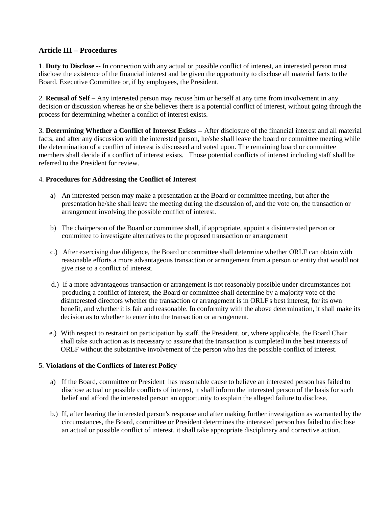# **Article III – Procedures**

1. **Duty to Disclose --** In connection with any actual or possible conflict of interest, an interested person must disclose the existence of the financial interest and be given the opportunity to disclose all material facts to the Board, Executive Committee or, if by employees, the President.

2. **Recusal of Self –** Any interested person may recuse him or herself at any time from involvement in any decision or discussion whereas he or she believes there is a potential conflict of interest, without going through the process for determining whether a conflict of interest exists.

3. **Determining Whether a Conflict of Interest Exists --** After disclosure of the financial interest and all material facts, and after any discussion with the interested person, he/she shall leave the board or committee meeting while the determination of a conflict of interest is discussed and voted upon. The remaining board or committee members shall decide if a conflict of interest exists. Those potential conflicts of interest including staff shall be referred to the President for review.

#### 4. **Procedures for Addressing the Conflict of Interest**

- a) An interested person may make a presentation at the Board or committee meeting, but after the presentation he/she shall leave the meeting during the discussion of, and the vote on, the transaction or arrangement involving the possible conflict of interest.
- b) The chairperson of the Board or committee shall, if appropriate, appoint a disinterested person or committee to investigate alternatives to the proposed transaction or arrangement
- c.) After exercising due diligence, the Board or committee shall determine whether ORLF can obtain with reasonable efforts a more advantageous transaction or arrangement from a person or entity that would not give rise to a conflict of interest.
- d.) If a more advantageous transaction or arrangement is not reasonably possible under circumstances not producing a conflict of interest, the Board or committee shall determine by a majority vote of the disinterested directors whether the transaction or arrangement is in ORLF's best interest, for its own benefit, and whether it is fair and reasonable. In conformity with the above determination, it shall make its decision as to whether to enter into the transaction or arrangement.
- e.) With respect to restraint on participation by staff, the President, or, where applicable, the Board Chair shall take such action as is necessary to assure that the transaction is completed in the best interests of ORLF without the substantive involvement of the person who has the possible conflict of interest.

#### 5. **Violations of the Conflicts of Interest Policy**

- a) If the Board, committee or President has reasonable cause to believe an interested person has failed to disclose actual or possible conflicts of interest, it shall inform the interested person of the basis for such belief and afford the interested person an opportunity to explain the alleged failure to disclose.
- b.) If, after hearing the interested person's response and after making further investigation as warranted by the circumstances, the Board, committee or President determines the interested person has failed to disclose an actual or possible conflict of interest, it shall take appropriate disciplinary and corrective action.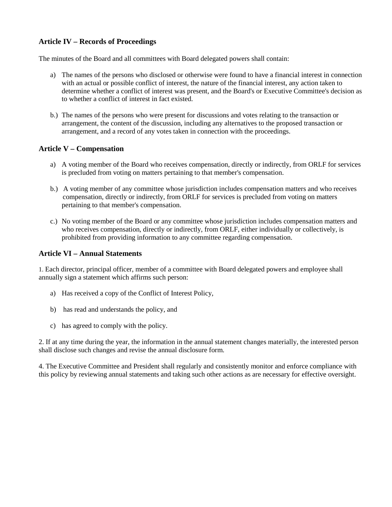# **Article IV – Records of Proceedings**

The minutes of the Board and all committees with Board delegated powers shall contain:

- a) The names of the persons who disclosed or otherwise were found to have a financial interest in connection with an actual or possible conflict of interest, the nature of the financial interest, any action taken to determine whether a conflict of interest was present, and the Board's or Executive Committee's decision as to whether a conflict of interest in fact existed.
- b.) The names of the persons who were present for discussions and votes relating to the transaction or arrangement, the content of the discussion, including any alternatives to the proposed transaction or arrangement, and a record of any votes taken in connection with the proceedings.

#### **Article V – Compensation**

- a) A voting member of the Board who receives compensation, directly or indirectly, from ORLF for services is precluded from voting on matters pertaining to that member's compensation.
- b.) A voting member of any committee whose jurisdiction includes compensation matters and who receives compensation, directly or indirectly, from ORLF for services is precluded from voting on matters pertaining to that member's compensation.
- c.) No voting member of the Board or any committee whose jurisdiction includes compensation matters and who receives compensation, directly or indirectly, from ORLF, either individually or collectively, is prohibited from providing information to any committee regarding compensation.

#### **Article VI – Annual Statements**

1. Each director, principal officer, member of a committee with Board delegated powers and employee shall annually sign a statement which affirms such person:

- a) Has received a copy of the Conflict of Interest Policy,
- b) has read and understands the policy, and
- c) has agreed to comply with the policy.

2. If at any time during the year, the information in the annual statement changes materially, the interested person shall disclose such changes and revise the annual disclosure form.

4. The Executive Committee and President shall regularly and consistently monitor and enforce compliance with this policy by reviewing annual statements and taking such other actions as are necessary for effective oversight.